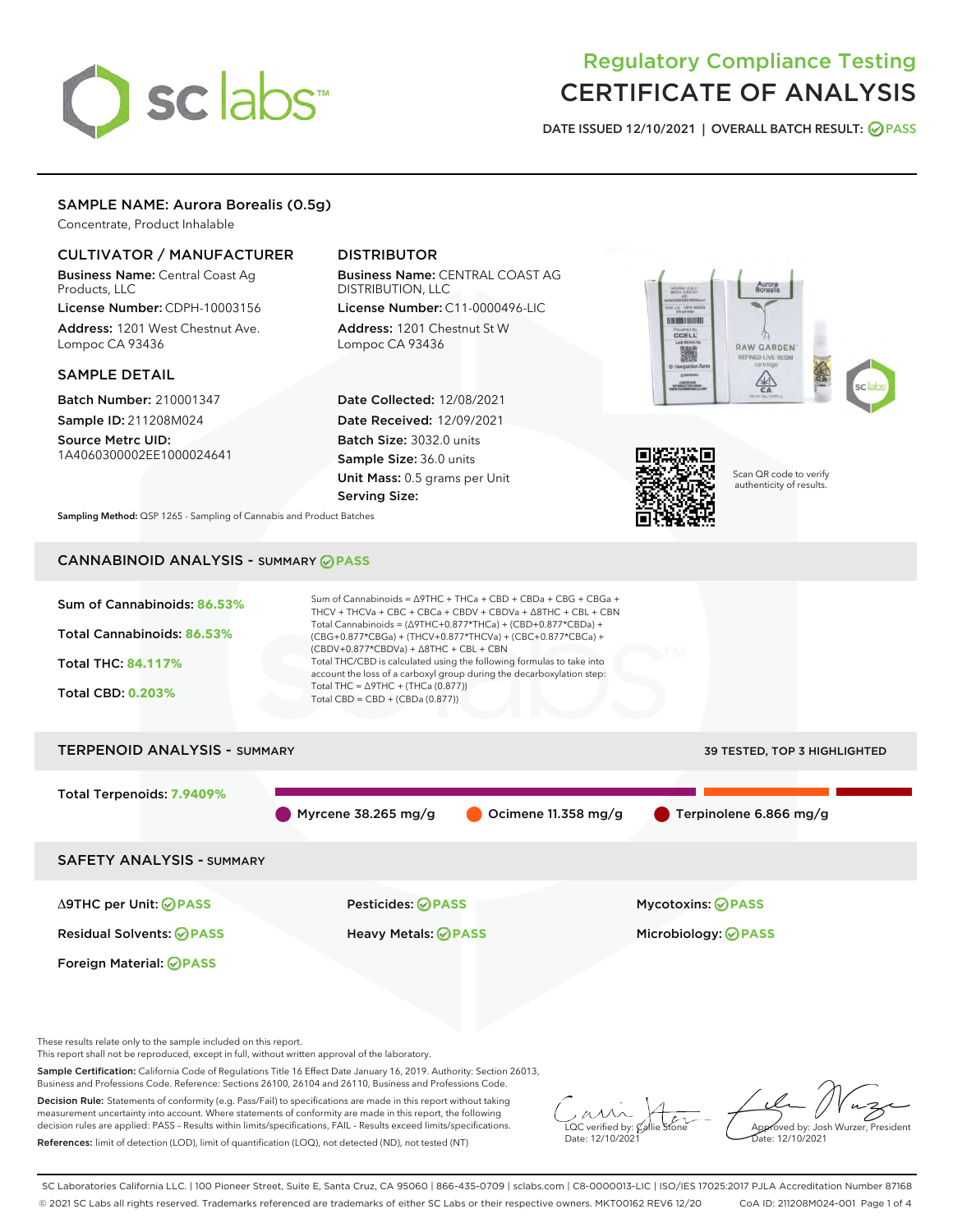# sclabs<sup>\*</sup>

# Regulatory Compliance Testing CERTIFICATE OF ANALYSIS

DATE ISSUED 12/10/2021 | OVERALL BATCH RESULT: @ PASS

## SAMPLE NAME: Aurora Borealis (0.5g)

Concentrate, Product Inhalable

## CULTIVATOR / MANUFACTURER

Business Name: Central Coast Ag Products, LLC License Number: CDPH-10003156

Address: 1201 West Chestnut Ave. Lompoc CA 93436

## SAMPLE DETAIL

Batch Number: 210001347 Sample ID: 211208M024

Source Metrc UID: 1A4060300002EE1000024641

## DISTRIBUTOR

Business Name: CENTRAL COAST AG DISTRIBUTION, LLC License Number: C11-0000496-LIC

Address: 1201 Chestnut St W Lompoc CA 93436

Date Collected: 12/08/2021 Date Received: 12/09/2021 Batch Size: 3032.0 units Sample Size: 36.0 units Unit Mass: 0.5 grams per Unit Serving Size:





Scan QR code to verify authenticity of results.

Sampling Method: QSP 1265 - Sampling of Cannabis and Product Batches

# CANNABINOID ANALYSIS - SUMMARY **PASS**



These results relate only to the sample included on this report.

This report shall not be reproduced, except in full, without written approval of the laboratory.

Sample Certification: California Code of Regulations Title 16 Effect Date January 16, 2019. Authority: Section 26013, Business and Professions Code. Reference: Sections 26100, 26104 and 26110, Business and Professions Code.

Decision Rule: Statements of conformity (e.g. Pass/Fail) to specifications are made in this report without taking measurement uncertainty into account. Where statements of conformity are made in this report, the following decision rules are applied: PASS – Results within limits/specifications, FAIL – Results exceed limits/specifications. References: limit of detection (LOD), limit of quantification (LOQ), not detected (ND), not tested (NT)

 $\overline{\text{LOC}}$  verified by:  $\mathcal C$ Date: 12/10/2021

Approved by: Josh Wurzer, President ate: 12/10/2021

SC Laboratories California LLC. | 100 Pioneer Street, Suite E, Santa Cruz, CA 95060 | 866-435-0709 | sclabs.com | C8-0000013-LIC | ISO/IES 17025:2017 PJLA Accreditation Number 87168 © 2021 SC Labs all rights reserved. Trademarks referenced are trademarks of either SC Labs or their respective owners. MKT00162 REV6 12/20 CoA ID: 211208M024-001 Page 1 of 4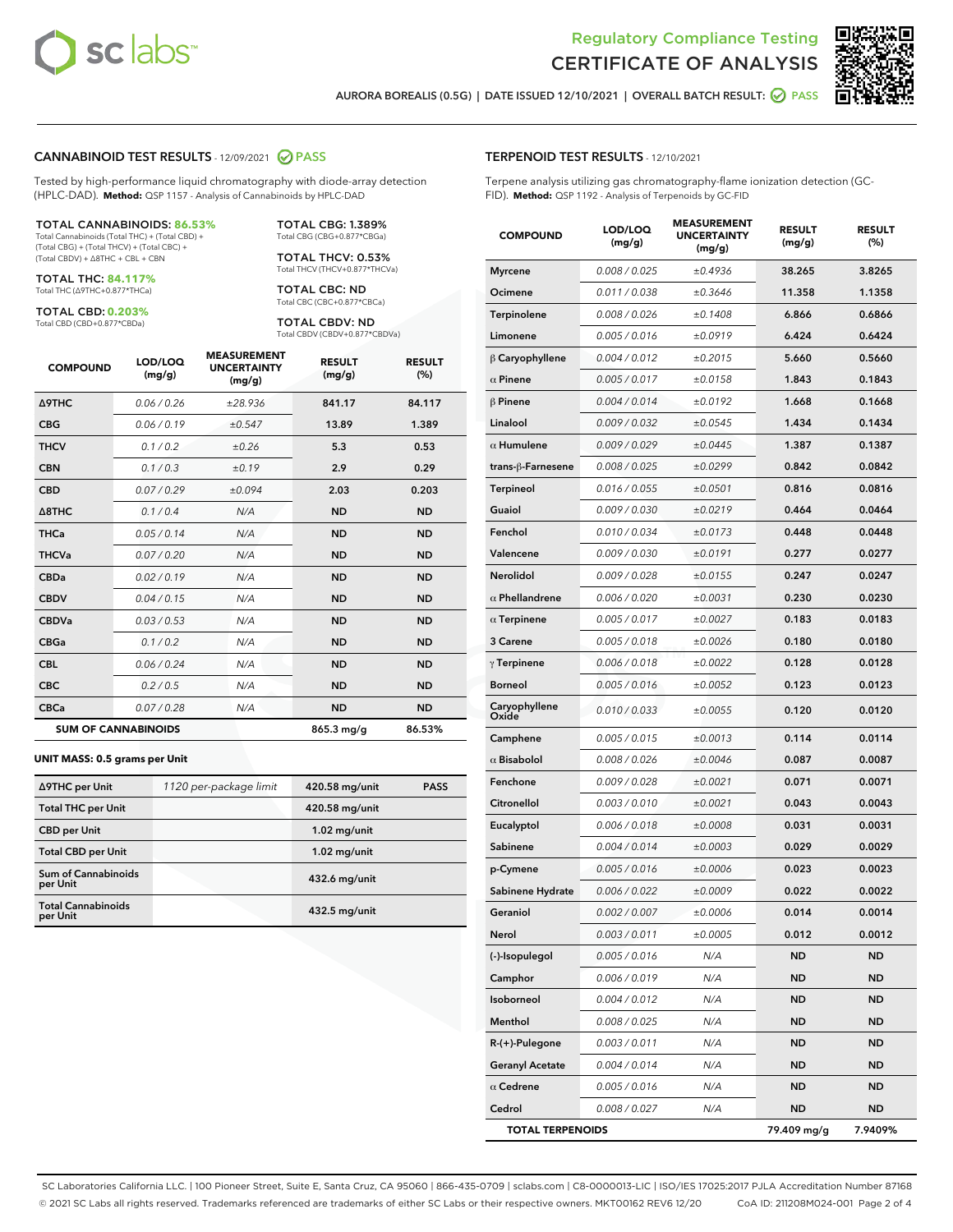



AURORA BOREALIS (0.5G) | DATE ISSUED 12/10/2021 | OVERALL BATCH RESULT: 2 PASS

## CANNABINOID TEST RESULTS - 12/09/2021 2 PASS

Tested by high-performance liquid chromatography with diode-array detection (HPLC-DAD). **Method:** QSP 1157 - Analysis of Cannabinoids by HPLC-DAD

#### TOTAL CANNABINOIDS: **86.53%**

Total Cannabinoids (Total THC) + (Total CBD) + (Total CBG) + (Total THCV) + (Total CBC) + (Total CBDV) + ∆8THC + CBL + CBN

TOTAL THC: **84.117%** Total THC (∆9THC+0.877\*THCa)

TOTAL CBD: **0.203%**

Total CBD (CBD+0.877\*CBDa)

TOTAL CBG: 1.389% Total CBG (CBG+0.877\*CBGa)

TOTAL THCV: 0.53% Total THCV (THCV+0.877\*THCVa)

TOTAL CBC: ND Total CBC (CBC+0.877\*CBCa)

TOTAL CBDV: ND Total CBDV (CBDV+0.877\*CBDVa)

| <b>COMPOUND</b>            | LOD/LOQ<br>(mg/g) | <b>MEASUREMENT</b><br><b>UNCERTAINTY</b><br>(mg/g) | <b>RESULT</b><br>(mg/g) | <b>RESULT</b><br>(%) |
|----------------------------|-------------------|----------------------------------------------------|-------------------------|----------------------|
| <b>A9THC</b>               | 0.06 / 0.26       | ±28.936                                            | 841.17                  | 84.117               |
| <b>CBG</b>                 | 0.06/0.19         | ±0.547                                             | 13.89                   | 1.389                |
| <b>THCV</b>                | 0.1 / 0.2         | ±0.26                                              | 5.3                     | 0.53                 |
| <b>CBN</b>                 | 0.1/0.3           | ±0.19                                              | 2.9                     | 0.29                 |
| <b>CBD</b>                 | 0.07 / 0.29       | ±0.094                                             | 2.03                    | 0.203                |
| $\triangle$ 8THC           | 0.1 / 0.4         | N/A                                                | <b>ND</b>               | <b>ND</b>            |
| <b>THCa</b>                | 0.05/0.14         | N/A                                                | <b>ND</b>               | <b>ND</b>            |
| <b>THCVa</b>               | 0.07/0.20         | N/A                                                | <b>ND</b>               | <b>ND</b>            |
| <b>CBDa</b>                | 0.02/0.19         | N/A                                                | <b>ND</b>               | <b>ND</b>            |
| <b>CBDV</b>                | 0.04/0.15         | N/A                                                | <b>ND</b>               | <b>ND</b>            |
| <b>CBDVa</b>               | 0.03/0.53         | N/A                                                | <b>ND</b>               | <b>ND</b>            |
| <b>CBGa</b>                | 0.1/0.2           | N/A                                                | <b>ND</b>               | <b>ND</b>            |
| <b>CBL</b>                 | 0.06 / 0.24       | N/A                                                | <b>ND</b>               | <b>ND</b>            |
| <b>CBC</b>                 | 0.2 / 0.5         | N/A                                                | <b>ND</b>               | <b>ND</b>            |
| <b>CBCa</b>                | 0.07 / 0.28       | N/A                                                | <b>ND</b>               | <b>ND</b>            |
| <b>SUM OF CANNABINOIDS</b> |                   |                                                    | $865.3$ mg/g            | 86.53%               |

#### **UNIT MASS: 0.5 grams per Unit**

| ∆9THC per Unit                         | 1120 per-package limit | 420.58 mg/unit  | <b>PASS</b> |
|----------------------------------------|------------------------|-----------------|-------------|
| <b>Total THC per Unit</b>              |                        | 420.58 mg/unit  |             |
| <b>CBD</b> per Unit                    |                        | $1.02$ mg/unit  |             |
| <b>Total CBD per Unit</b>              |                        | $1.02$ mg/unit  |             |
| <b>Sum of Cannabinoids</b><br>per Unit |                        | 432.6 mg/unit   |             |
| <b>Total Cannabinoids</b><br>per Unit  |                        | $432.5$ mg/unit |             |

| <b>COMPOUND</b>        | LOD/LOQ<br>(mg/g) | <b>MEASUREMENT</b><br><b>UNCERTAINTY</b><br>(mg/g) | <b>RESULT</b><br>(mg/g) | <b>RESULT</b><br>(%) |
|------------------------|-------------------|----------------------------------------------------|-------------------------|----------------------|
| Myrcene                | 0.008 / 0.025     | ±0.4936                                            | 38.265                  | 3.8265               |
| Ocimene                | 0.011 / 0.038     | ±0.3646                                            | 11.358                  | 1.1358               |
| Terpinolene            | 0.008 / 0.026     | ±0.1408                                            | 6.866                   | 0.6866               |
| Limonene               | 0.005 / 0.016     | ±0.0919                                            | 6.424                   | 0.6424               |
| $\beta$ Caryophyllene  | 0.004 / 0.012     | ±0.2015                                            | 5.660                   | 0.5660               |
| $\alpha$ Pinene        | 0.005 / 0.017     | ±0.0158                                            | 1.843                   | 0.1843               |
| β Pinene               | 0.004 / 0.014     | ±0.0192                                            | 1.668                   | 0.1668               |
| Linalool               | 0.009 / 0.032     | ±0.0545                                            | 1.434                   | 0.1434               |
| $\alpha$ Humulene      | 0.009/0.029       | ±0.0445                                            | 1.387                   | 0.1387               |
| trans-β-Farnesene      | 0.008 / 0.025     | ±0.0299                                            | 0.842                   | 0.0842               |
| Terpineol              | 0.016 / 0.055     | ±0.0501                                            | 0.816                   | 0.0816               |
| Guaiol                 | 0.009 / 0.030     | ±0.0219                                            | 0.464                   | 0.0464               |
| Fenchol                | 0.010 / 0.034     | ±0.0173                                            | 0.448                   | 0.0448               |
| Valencene              | 0.009 / 0.030     | ±0.0191                                            | 0.277                   | 0.0277               |
| Nerolidol              | 0.009 / 0.028     | ±0.0155                                            | 0.247                   | 0.0247               |
| $\alpha$ Phellandrene  | 0.006 / 0.020     | ±0.0031                                            | 0.230                   | 0.0230               |
| $\alpha$ Terpinene     | 0.005 / 0.017     | ±0.0027                                            | 0.183                   | 0.0183               |
| <b>3 Carene</b>        | 0.005 / 0.018     | ±0.0026                                            | 0.180                   | 0.0180               |
| $\gamma$ Terpinene     | 0.006 / 0.018     | ±0.0022                                            | 0.128                   | 0.0128               |
| Borneol                | 0.005 / 0.016     | ±0.0052                                            | 0.123                   | 0.0123               |
| Caryophyllene<br>Oxide | 0.010 / 0.033     | ±0.0055                                            | 0.120                   | 0.0120               |
| Camphene               | 0.005 / 0.015     | ±0.0013                                            | 0.114                   | 0.0114               |
| $\alpha$ Bisabolol     | 0.008 / 0.026     | ±0.0046                                            | 0.087                   | 0.0087               |
| Fenchone               | 0.009 / 0.028     | ±0.0021                                            | 0.071                   | 0.0071               |
| Citronellol            | 0.003 / 0.010     | ±0.0021                                            | 0.043                   | 0.0043               |
| Eucalyptol             | 0.006 / 0.018     | ±0.0008                                            | 0.031                   | 0.0031               |
| Sabinene               | 0.004 / 0.014     | ±0.0003                                            | 0.029                   | 0.0029               |
| p-Cymene               | 0.005 / 0.016     | ±0.0006                                            | 0.023                   | 0.0023               |
| Sabinene Hydrate       | 0.006 / 0.022     | ±0.0009                                            | 0.022                   | 0.0022               |
| Geraniol               | 0.002 / 0.007     | ±0.0006                                            | 0.014                   | 0.0014               |
| Nerol                  | 0.003 / 0.011     | ±0.0005                                            | 0.012                   | 0.0012               |
| (-)-Isopulegol         | 0.005 / 0.016     | N/A                                                | <b>ND</b>               | ND                   |
| Camphor                | 0.006 / 0.019     | N/A                                                | <b>ND</b>               | ND                   |
| Isoborneol             | 0.004 / 0.012     | N/A                                                | ND                      | ND                   |
| Menthol                | 0.008 / 0.025     | N/A                                                | ND                      | ND                   |
| R-(+)-Pulegone         | 0.003 / 0.011     | N/A                                                | <b>ND</b>               | ND                   |
| <b>Geranyl Acetate</b> | 0.004 / 0.014     | N/A                                                | ND                      | ND                   |
| $\alpha$ Cedrene       | 0.005 / 0.016     | N/A                                                | <b>ND</b>               | ND                   |

Cedrol 0.008 / 0.027 N/A ND ND TOTAL TERPENOIDS 79.409 mg/g 7.9409%

SC Laboratories California LLC. | 100 Pioneer Street, Suite E, Santa Cruz, CA 95060 | 866-435-0709 | sclabs.com | C8-0000013-LIC | ISO/IES 17025:2017 PJLA Accreditation Number 87168 © 2021 SC Labs all rights reserved. Trademarks referenced are trademarks of either SC Labs or their respective owners. MKT00162 REV6 12/20 CoA ID: 211208M024-001 Page 2 of 4

# TERPENOID TEST RESULTS - 12/10/2021

Terpene analysis utilizing gas chromatography-flame ionization detection (GC-FID). **Method:** QSP 1192 - Analysis of Terpenoids by GC-FID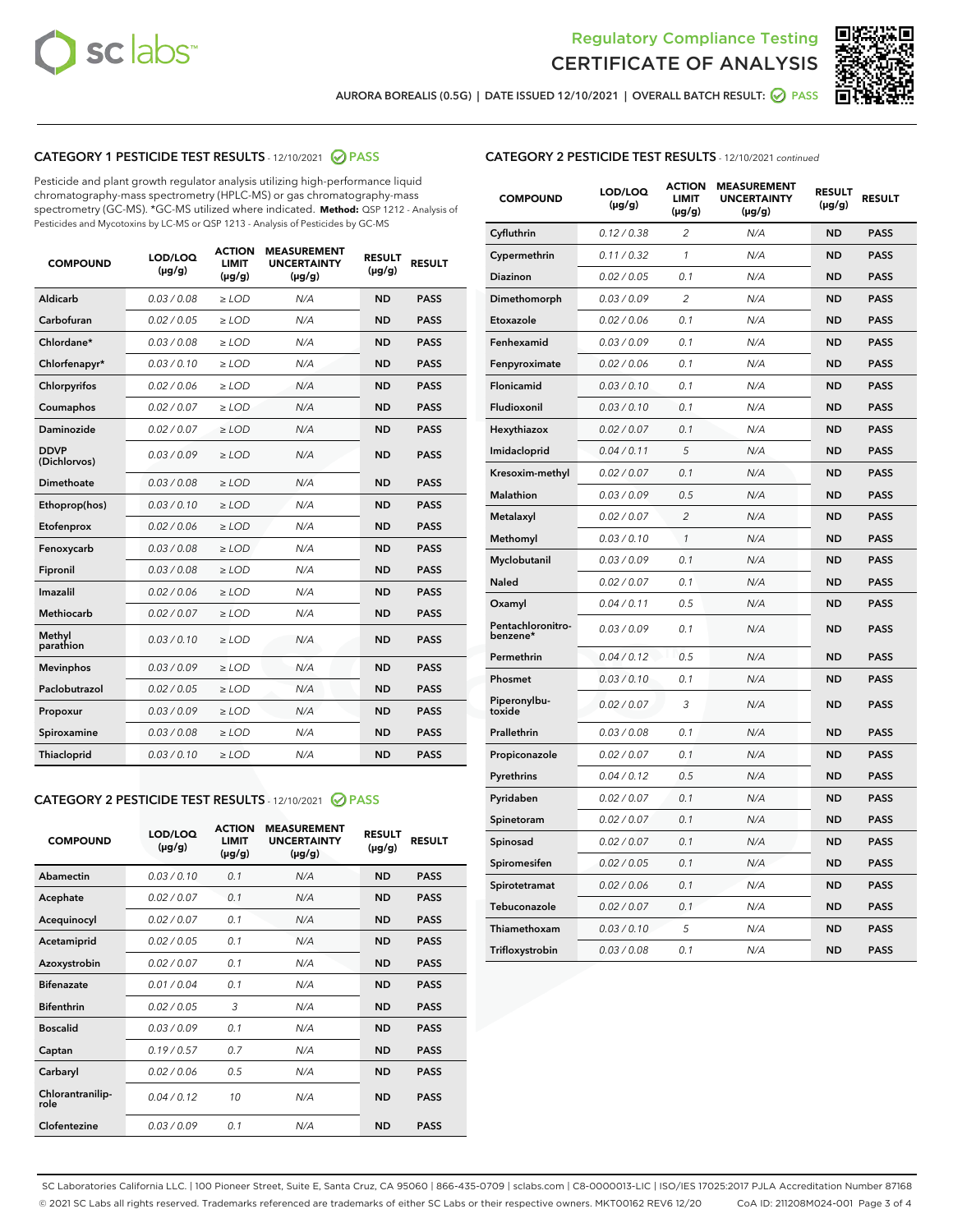



AURORA BOREALIS (0.5G) | DATE ISSUED 12/10/2021 | OVERALL BATCH RESULT: @ PASS

# CATEGORY 1 PESTICIDE TEST RESULTS - 12/10/2021 @ PASS

Pesticide and plant growth regulator analysis utilizing high-performance liquid chromatography-mass spectrometry (HPLC-MS) or gas chromatography-mass spectrometry (GC-MS). \*GC-MS utilized where indicated. **Method:** QSP 1212 - Analysis of Pesticides and Mycotoxins by LC-MS or QSP 1213 - Analysis of Pesticides by GC-MS

| <b>COMPOUND</b>             | LOD/LOQ<br>$(\mu g/g)$ | <b>ACTION</b><br><b>LIMIT</b><br>$(\mu g/g)$ | <b>MEASUREMENT</b><br><b>UNCERTAINTY</b><br>$(\mu g/g)$ | <b>RESULT</b><br>$(\mu g/g)$ | <b>RESULT</b> |
|-----------------------------|------------------------|----------------------------------------------|---------------------------------------------------------|------------------------------|---------------|
| Aldicarb                    | 0.03 / 0.08            | $\geq$ LOD                                   | N/A                                                     | <b>ND</b>                    | <b>PASS</b>   |
| Carbofuran                  | 0.02/0.05              | $\ge$ LOD                                    | N/A                                                     | <b>ND</b>                    | <b>PASS</b>   |
| Chlordane*                  | 0.03 / 0.08            | $\ge$ LOD                                    | N/A                                                     | <b>ND</b>                    | <b>PASS</b>   |
| Chlorfenapyr*               | 0.03/0.10              | $\ge$ LOD                                    | N/A                                                     | <b>ND</b>                    | <b>PASS</b>   |
| Chlorpyrifos                | 0.02 / 0.06            | $\ge$ LOD                                    | N/A                                                     | <b>ND</b>                    | <b>PASS</b>   |
| Coumaphos                   | 0.02 / 0.07            | $\ge$ LOD                                    | N/A                                                     | <b>ND</b>                    | <b>PASS</b>   |
| Daminozide                  | 0.02 / 0.07            | $\ge$ LOD                                    | N/A                                                     | <b>ND</b>                    | <b>PASS</b>   |
| <b>DDVP</b><br>(Dichlorvos) | 0.03/0.09              | $\ge$ LOD                                    | N/A                                                     | <b>ND</b>                    | <b>PASS</b>   |
| Dimethoate                  | 0.03 / 0.08            | $\ge$ LOD                                    | N/A                                                     | <b>ND</b>                    | <b>PASS</b>   |
| Ethoprop(hos)               | 0.03/0.10              | $\ge$ LOD                                    | N/A                                                     | <b>ND</b>                    | <b>PASS</b>   |
| Etofenprox                  | 0.02/0.06              | $\ge$ LOD                                    | N/A                                                     | <b>ND</b>                    | <b>PASS</b>   |
| Fenoxycarb                  | 0.03/0.08              | $\ge$ LOD                                    | N/A                                                     | <b>ND</b>                    | <b>PASS</b>   |
| Fipronil                    | 0.03/0.08              | $\ge$ LOD                                    | N/A                                                     | <b>ND</b>                    | <b>PASS</b>   |
| Imazalil                    | 0.02 / 0.06            | $\ge$ LOD                                    | N/A                                                     | <b>ND</b>                    | <b>PASS</b>   |
| <b>Methiocarb</b>           | 0.02 / 0.07            | $\ge$ LOD                                    | N/A                                                     | <b>ND</b>                    | <b>PASS</b>   |
| Methyl<br>parathion         | 0.03/0.10              | $\ge$ LOD                                    | N/A                                                     | <b>ND</b>                    | <b>PASS</b>   |
| <b>Mevinphos</b>            | 0.03/0.09              | $\ge$ LOD                                    | N/A                                                     | <b>ND</b>                    | <b>PASS</b>   |
| Paclobutrazol               | 0.02 / 0.05            | $\ge$ LOD                                    | N/A                                                     | <b>ND</b>                    | <b>PASS</b>   |
| Propoxur                    | 0.03/0.09              | $\ge$ LOD                                    | N/A                                                     | <b>ND</b>                    | <b>PASS</b>   |
| Spiroxamine                 | 0.03 / 0.08            | $\ge$ LOD                                    | N/A                                                     | <b>ND</b>                    | <b>PASS</b>   |
| <b>Thiacloprid</b>          | 0.03/0.10              | $\ge$ LOD                                    | N/A                                                     | <b>ND</b>                    | <b>PASS</b>   |
|                             |                        |                                              |                                                         |                              |               |

## CATEGORY 2 PESTICIDE TEST RESULTS - 12/10/2021 @ PASS

| <b>COMPOUND</b>          | LOD/LOO<br>$(\mu g/g)$ | <b>ACTION</b><br>LIMIT<br>$(\mu g/g)$ | <b>MEASUREMENT</b><br><b>UNCERTAINTY</b><br>$(\mu g/g)$ | <b>RESULT</b><br>$(\mu g/g)$ | <b>RESULT</b> |  |
|--------------------------|------------------------|---------------------------------------|---------------------------------------------------------|------------------------------|---------------|--|
| Abamectin                | 0.03/0.10              | 0.1                                   | N/A                                                     | <b>ND</b>                    | <b>PASS</b>   |  |
| Acephate                 | 0.02/0.07              | 0.1                                   | N/A                                                     | <b>ND</b>                    | <b>PASS</b>   |  |
| Acequinocyl              | 0.02/0.07              | 0.1                                   | N/A                                                     | <b>ND</b>                    | <b>PASS</b>   |  |
| Acetamiprid              | 0.02/0.05              | 0.1                                   | N/A                                                     | <b>ND</b>                    | <b>PASS</b>   |  |
| Azoxystrobin             | 0.02/0.07              | 0.1                                   | N/A                                                     | <b>ND</b>                    | <b>PASS</b>   |  |
| <b>Bifenazate</b>        | 0.01/0.04              | 0.1                                   | N/A                                                     | <b>ND</b>                    | <b>PASS</b>   |  |
| <b>Bifenthrin</b>        | 0.02/0.05              | 3                                     | N/A                                                     | <b>ND</b>                    | <b>PASS</b>   |  |
| <b>Boscalid</b>          | 0.03/0.09              | 0.1                                   | N/A                                                     | <b>ND</b>                    | <b>PASS</b>   |  |
| Captan                   | 0.19/0.57              | 0.7                                   | N/A                                                     | <b>ND</b>                    | <b>PASS</b>   |  |
| Carbaryl                 | 0.02/0.06              | 0.5                                   | N/A                                                     | <b>ND</b>                    | <b>PASS</b>   |  |
| Chlorantranilip-<br>role | 0.04/0.12              | 10                                    | N/A                                                     | <b>ND</b>                    | <b>PASS</b>   |  |
| Clofentezine             | 0.03/0.09              | 0.1                                   | N/A                                                     | <b>ND</b>                    | <b>PASS</b>   |  |

## CATEGORY 2 PESTICIDE TEST RESULTS - 12/10/2021 continued

| <b>COMPOUND</b>               | LOD/LOQ<br>(µg/g) | <b>ACTION</b><br>LIMIT<br>(µg/g) | <b>MEASUREMENT</b><br><b>UNCERTAINTY</b><br>(µg/g) | <b>RESULT</b><br>(µg/g) | <b>RESULT</b> |
|-------------------------------|-------------------|----------------------------------|----------------------------------------------------|-------------------------|---------------|
| Cyfluthrin                    | 0.12 / 0.38       | $\overline{c}$                   | N/A                                                | <b>ND</b>               | <b>PASS</b>   |
| Cypermethrin                  | 0.11/0.32         | 1                                | N/A                                                | <b>ND</b>               | <b>PASS</b>   |
| Diazinon                      | 0.02 / 0.05       | 0.1                              | N/A                                                | <b>ND</b>               | <b>PASS</b>   |
| Dimethomorph                  | 0.03 / 0.09       | 2                                | N/A                                                | <b>ND</b>               | <b>PASS</b>   |
| Etoxazole                     | 0.02 / 0.06       | 0.1                              | N/A                                                | <b>ND</b>               | <b>PASS</b>   |
| Fenhexamid                    | 0.03 / 0.09       | 0.1                              | N/A                                                | <b>ND</b>               | <b>PASS</b>   |
| Fenpyroximate                 | 0.02 / 0.06       | 0.1                              | N/A                                                | <b>ND</b>               | <b>PASS</b>   |
| Flonicamid                    | 0.03 / 0.10       | 0.1                              | N/A                                                | <b>ND</b>               | <b>PASS</b>   |
| Fludioxonil                   | 0.03 / 0.10       | 0.1                              | N/A                                                | <b>ND</b>               | <b>PASS</b>   |
| Hexythiazox                   | 0.02 / 0.07       | 0.1                              | N/A                                                | <b>ND</b>               | <b>PASS</b>   |
| Imidacloprid                  | 0.04 / 0.11       | 5                                | N/A                                                | <b>ND</b>               | <b>PASS</b>   |
| Kresoxim-methyl               | 0.02 / 0.07       | 0.1                              | N/A                                                | <b>ND</b>               | <b>PASS</b>   |
| Malathion                     | 0.03 / 0.09       | 0.5                              | N/A                                                | <b>ND</b>               | <b>PASS</b>   |
| Metalaxyl                     | 0.02 / 0.07       | 2                                | N/A                                                | <b>ND</b>               | <b>PASS</b>   |
| Methomyl                      | 0.03 / 0.10       | $\mathcal{I}$                    | N/A                                                | <b>ND</b>               | <b>PASS</b>   |
| Myclobutanil                  | 0.03 / 0.09       | 0.1                              | N/A                                                | <b>ND</b>               | <b>PASS</b>   |
| Naled                         | 0.02 / 0.07       | 0.1                              | N/A                                                | <b>ND</b>               | <b>PASS</b>   |
| Oxamyl                        | 0.04 / 0.11       | 0.5                              | N/A                                                | <b>ND</b>               | <b>PASS</b>   |
| Pentachloronitro-<br>benzene* | 0.03 / 0.09       | 0.1                              | N/A                                                | <b>ND</b>               | <b>PASS</b>   |
| Permethrin                    | 0.04/0.12         | 0.5                              | N/A                                                | <b>ND</b>               | <b>PASS</b>   |
| Phosmet                       | 0.03 / 0.10       | 0.1                              | N/A                                                | <b>ND</b>               | <b>PASS</b>   |
| Piperonylbu-<br>toxide        | 0.02 / 0.07       | 3                                | N/A                                                | <b>ND</b>               | <b>PASS</b>   |
| Prallethrin                   | 0.03 / 0.08       | 0.1                              | N/A                                                | <b>ND</b>               | <b>PASS</b>   |
| Propiconazole                 | 0.02 / 0.07       | 0.1                              | N/A                                                | <b>ND</b>               | <b>PASS</b>   |
| Pyrethrins                    | 0.04 / 0.12       | 0.5                              | N/A                                                | <b>ND</b>               | <b>PASS</b>   |
| Pyridaben                     | 0.02 / 0.07       | 0.1                              | N/A                                                | <b>ND</b>               | <b>PASS</b>   |
| Spinetoram                    | 0.02 / 0.07       | 0.1                              | N/A                                                | <b>ND</b>               | <b>PASS</b>   |
| Spinosad                      | 0.02 / 0.07       | 0.1                              | N/A                                                | <b>ND</b>               | <b>PASS</b>   |
| Spiromesifen                  | 0.02 / 0.05       | 0.1                              | N/A                                                | <b>ND</b>               | <b>PASS</b>   |
| Spirotetramat                 | 0.02 / 0.06       | 0.1                              | N/A                                                | ND                      | <b>PASS</b>   |
| Tebuconazole                  | 0.02 / 0.07       | 0.1                              | N/A                                                | <b>ND</b>               | <b>PASS</b>   |
| Thiamethoxam                  | 0.03 / 0.10       | 5                                | N/A                                                | <b>ND</b>               | <b>PASS</b>   |
| Trifloxystrobin               | 0.03 / 0.08       | 0.1                              | N/A                                                | <b>ND</b>               | <b>PASS</b>   |

SC Laboratories California LLC. | 100 Pioneer Street, Suite E, Santa Cruz, CA 95060 | 866-435-0709 | sclabs.com | C8-0000013-LIC | ISO/IES 17025:2017 PJLA Accreditation Number 87168 © 2021 SC Labs all rights reserved. Trademarks referenced are trademarks of either SC Labs or their respective owners. MKT00162 REV6 12/20 CoA ID: 211208M024-001 Page 3 of 4